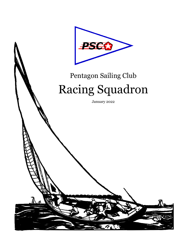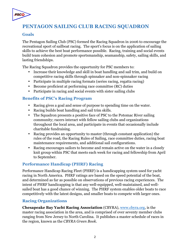

# **PENTAGON SAILING CLUB RACING SQUADRON**

#### **Goals**

The Pentagon Sailing Club (PSC) formed the Racing Squadron in 2006 to encourage the recreational sport of sailboat racing. The sport's focus is on the application of sailing skills to achieve the best boat performance possible. Racing, training and social events build team cohesion and promote sportsmanship, seamanship, safety, sailing skills, and lasting friendships.

The Racing Squadron provides the opportunity for PSC members to:

- Increase their knowledge and skill in boat handling and sail trim, and build on competitive racing skills through spinnaker and non-spinnaker racing
- Participate in multiple racing formats (series racing, regatta racing)
- Become proficient at performing race committee (RC) duties
- Participate in racing and social events with sister sailing clubs

#### **Benefits of PSC's Racing Program**

- Racing gives a goal and sense of purpose to spending time on the water.
- Racing builds boat handling and sail trim skills.
- The Squadron presents a positive face of PSC to the Potomac River sailing community; racers interact with fellow sailing clubs and organizations throughout the local area, and participate in events that occasionally include charitable fundraising.
- Racing provides an opportunity to master (through constant application) the rules of the road, the Racing Rules of Sailing, race committee duties, racing boat maintenance requirements, and additional sail configurations.
- Racing encourages sailors to become and remain active on the water in a closely knit group within PSC that meets each week for racing and fellowship from April to September.

#### **Performance Handicap (PHRF) Racing**

Performance Handicap Racing Fleet (PHRF) is a handicapping system used for yacht racing in North America. PHRF ratings are based on the speed potential of the boat, and determined as far as possible on observations of previous racing experiences. The intent of PHRF handicapping is that any well-equipped, well-maintained, and wellsailed boat has a good chance of winning. The PHRF system enables older boats to race competitively with the latest designs, and smaller boats to compete with larger ones.

#### **Racing Organizations**

**Chesapeake Bay Yacht Racing Association** (CBYRA), www.cbyra.org, is the master racing association in the area, and is comprised of over seventy member clubs ranging from New Jersey to North Carolina. It publishes a master schedule of races in the region, known as the *CBYRA Green Book*.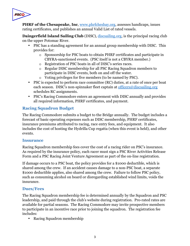

**PHRF of the Chesapeake, Inc**, www.phrfchesbay.org, assesses handicaps, issues rating certificates, and publishes an annual Valid List of rated vessels.

**Daingerfield Island Sailing Club** (DISC), discsailing.org, is the principal racing club on the upper Potomac River.

- PSC has a standing agreement for an annual group membership with DISC. This provides for:
	- o Sponsorship for PSC boats to obtain PHRF certificates and participate in CBYRA-sanctioned events. (PSC itself is not a CBYRA member.)
	- o Registration of PSC boats in all of DISC's series races.
	- o Regular DISC membership for all PSC Racing Squadron members to participate in DISC events, both on and off the water.
	- o Voting privileges for five members (to be named by PSC).
- PSC is expected to perform race committee (RC) duties, at a rate of once per boat each season. DISC's non-spinnaker fleet captain at officers@discsailing.org schedules RC assignments.
- PSC's Racing Commodore enters an agreement with DISC annually and provides all required information, PHRF certificates, and payment.

## **Racing Squadron Budget**

The Racing Commodore submits a budget to the Bridge annually. The budget includes a forecast of basic operating expenses such as DISC membership, PHRF certificates, insurance premiums attributed to racing, race entry fees, and equipment. It also includes the cost of hosting the Hydrilla Cup regatta (when this event is held), and other events.

#### **Insurance**

Racing Squadron membership fees cover the cost of a racing rider on PSC's insurance. As required by the insurance policy, each racer must sign a PSC River Activities Release Form and a PSC Racing Joint Venture Agreement as part of the on-line registration.

If damage occurs to a PSC boat, the policy provides for a \$1000 deductible, which is shared among the crew. If an accident causes damage to a non-PSC boat, a separate \$1000 deductible applies, also shared among the crew. Failure to follow PSC policy, such as consuming alcohol on board or disregarding established wind limits, voids the insurance.

#### **Dues/Fees**

The Racing Squadron membership fee is determined annually by the Squadron and PSC leadership, and paid through the club's website during registration. Pro-rated rates are available for partial seasons. The Racing Commodore may invite prospective members to participate in an incentive race prior to joining the squadron. The registration fee includes:

• Racing Squadron membership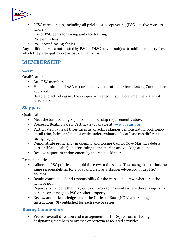

- DISC membership, including all privileges except voting (PSC gets five votes as a whole.)
- Use of PSC boats for racing and race training
- Race entry fees
- PSC-hosted racing clinics

Any additional races not hosted by PSC or DISC may be subject to additional entry fees, which the participating crews pay on their own.

## **MEMBERSHIP**

#### **Crew**

Qualifications

- Be a PSC member.
- Hold a minimum of ASA 101 or an equivalent rating, or have Racing Commodore approval.
- Be able to actively assist the skipper as needed. Racing crewmembers are not passengers.

## **Skippers**

**Oualifications** 

- Meet the basic Racing Squadron membership requirements, above.
- Possess a Boating Safety Certificate (available at www.boatus.org).
- Participate in at least three races as an acting skipper demonstrating proficiency at sail trim, helm, and tactics while under evaluation by at least two different racing skippers.
- Demonstrate proficiency in opening and closing Capitol Cove Marina's debris barrier (if applicable) and returning to the marina and docking at night.
- Receive a quorum endorsement by the racing skippers.

Responsibilities

- Adhere to PSC policies and hold the crew to the same. The racing skipper has the same responsibilities for a boat and crew as a skipper-of-record under PSC policies.
- Retain command of and responsibility for the vessel and crew, whether at the helm or not.
- Report any incident that may occur during racing events where there is injury to persons or damage to PSC or other property.
- Review and be knowledgeable of the Notice of Race (NOR) and Sailing Instructions (SI) published for each race or series.

#### **Racing Commodore**

• Provide overall direction and management for the Squadron, including designating members to oversee or perform associated activities.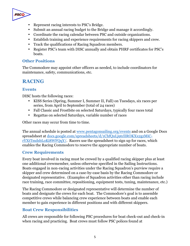

- Represent racing interests to PSC's Bridge.
- Submit an annual racing budget to the Bridge and manage it accordingly.
- Coordinate the racing calendar between PSC and outside organizations.
- Establish training and experience requirements for racing skippers and crew.
- Track the qualifications of Racing Squadron members.
- Register PSC's team with DISC annually and obtain PHRF certificates for PSC's boats.

#### **Other Positions**

The Commodore may appoint other officers as needed, to include coordinators for maintenance, safety, communications, etc.

# **RACING**

#### **Events**

DISC hosts the following races:

- KISS Series (Spring, Summer I, Summer II, Fall) on Tuesdays, six races per series, from April to September (total of 24 races)
- Fall Classic and Frostbite on selected Saturdays, typically four races total
- Regattas on selected Saturdays, variable number of races

Other races may occur from time to time.

The annual schedule is posted at www.pentagonsailing.org/events and on a Google Docs spreadsheet at docs.google.com/spreadsheets/d/1ChfQuLj9tclIROKXx2gzMiCrYXtTmdsbLoKi8WFQqY/. Racers use the spreadsheet to sign up for races, which enables the Racing Commodore to reserve the appropriate number of boats.

#### **Crew Requirements**

Every boat involved in racing must be crewed by a qualified racing skipper plus at least one additional crewmember, unless otherwise specified in the Sailing Instructions. Boats engaged in non-racing activities under the Racing Squadron's purview require a skipper and crew determined on a case-by-case basis by the Racing Commodore or designated representative. (Examples of Squadron activities other than racing include race training, race committee, repositioning, equipment tests, tuning, maintenance, etc.)

The Racing Commodore or designated representative will determine the number of boats and designate the crews for each boat. The Commodore's goal is to assemble competitive crews while balancing crew experience between boats and enable each member to gain experience in different positions and with different skippers.

#### **Boat Crew Responsibilities**

All crews are responsible for following PSC procedures for boat check-out and check-in when racing and practicing. Boat crews must follow PSC polices found at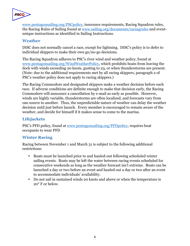

www.pentagonsailing.org/PSCpolicy, insurance requirements, Racing Squadron rules, the Racing Rules of Sailing found at www.sailing.org/documents/racingrules and eventunique instructions as identified in Sailing Instructions.

#### **Weather**

DISC does not normally cancel a race, except for lightning. DISC's policy is to defer to individual skippers to make their own go/no-go decisions.

The Racing Squadron adheres to PSC's river wind and weather policy, found at www.pentagonsailing.org/WindWeatherPolicy, which prohibits boats from leaving the dock with winds exceeding 20 knots, gusting to 23, or when thunderstorms are present. (Note: due to the additional requirements met by all racing skippers, paragraph 2 of PSC's weather policy does not apply to racing skippers.)

The Racing Commodore and designated skippers make a weather decision before each race. If adverse conditions are definite enough to make that decision early, the Racing Commodore will announce a cancellation by e-mail as early as possible. However, winds are highly variable, thunderstorms are often localized, and forecasts vary from one source to another. Thus, the unpredictable nature of weather can delay the weather decision until just before launch. Every member is encouraged to remain aware of the weather, and decide for himself if it makes sense to come to the marina.

### **Lifejackets**

PSC's PFD policy, found at www.pentagonsailing.org/PFDpolicy, requires boat occupants to wear PFD

#### **Winter Racing**

Racing between November 1 and March 31 is subject to the following additional restrictions:

- Boats must be launched prior to and hauled-out following scheduled winter sailing events. Boats may be left the water between racing events scheduled for consecutive weekends as long as the weather forecast isn't extreme. Boats can be launched a day or two before an event and hauled out a day or two after an event to accommodate individuals' availability.
- Do not sail in sustained winds 20 knots and above or when the temperature is 20° F or below.